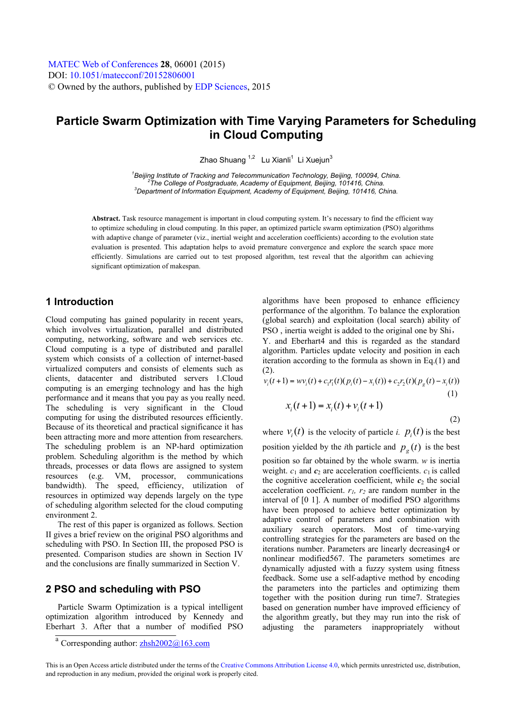# **Particle Swarm Optimization with Time Varying Parameters for Scheduling in Cloud Computing**

Zhao Shuang <sup>1,2</sup> Lu Xianli<sup>1</sup> Li Xuejun<sup>3</sup>

*1 Beijing Institute of Tracking and Telecommunication Technology, Beijing, 100094, China. 2* <sup>2</sup>The College of Postgraduate, Academy of Equipment, Beijing, 101416, China.<br><sup>3</sup>Department of Information Equipment, Academy of Equipment, Beijing, 101416, China.

**Abstract.** Task resource management is important in cloud computing system. It's necessary to find the efficient way to optimize scheduling in cloud computing. In this paper, an optimized particle swarm optimization (PSO) algorithms with adaptive change of parameter (viz., inertial weight and acceleration coefficients) according to the evolution state evaluation is presented. This adaptation helps to avoid premature convergence and explore the search space more efficiently. Simulations are carried out to test proposed algorithm, test reveal that the algorithm can achieving significant optimization of makespan.

## **1 Introduction**

Cloud computing has gained popularity in recent years, which involves virtualization, parallel and distributed computing, networking, software and web services etc. Cloud computing is a type of distributed and parallel system which consists of a collection of internet-based virtualized computers and consists of elements such as clients, datacenter and distributed servers 1.Cloud computing is an emerging technology and has the high performance and it means that you pay as you really need. The scheduling is very significant in the Cloud computing for using the distributed resources efficiently. Because of its theoretical and practical significance it has been attracting more and more attention from researchers. The scheduling problem is an NP-hard optimization problem. Scheduling algorithm is the method by which threads, processes or data flows are assigned to system resources (e.g. VM, processor, communications bandwidth). The speed, efficiency, utilization of resources in optimized way depends largely on the type of scheduling algorithm selected for the cloud computing environment 2.

The rest of this paper is organized as follows. Section II gives a brief review on the original PSO algorithms and scheduling with PSO. In Section III, the proposed PSO is presented. Comparison studies are shown in Section IV and the conclusions are finally summarized in Section V.

## **2 PSO and scheduling with PSO**

Particle Swarm Optimization is a typical intelligent optimization algorithm introduced by Kennedy and Eberhart 3. After that a number of modified PSO

Y. and Eberhart4 and this is regarded as the standard algorithm. Particles update velocity and position in each iteration according to the formula as shown in Eq.(1) and (2).

$$
v_i(t+1) = w v_i(t) + c_1 r_1(t) (p_i(t) - x_i(t)) + c_2 r_2(t) (p_g(t) - x_i(t))
$$
  
(1)  

$$
x_i(t+1) = x_i(t) + v_i(t+1)
$$

 (2) where  $v_i(t)$  is the velocity of particle *i.*  $p_i(t)$  is the best position yielded by the *i*th particle and  $p_a(t)$  is the best position so far obtained by the whole swarm. *w* is inertia weight.  $c_1$  and  $c_2$  are acceleration coefficients.  $c_1$  is called the cognitive acceleration coefficient, while  $c_2$  the social acceleration coefficient.  $r_1$ ,  $r_2$  are random number in the interval of [0 1]. A number of modified PSO algorithms have been proposed to achieve better optimization by adaptive control of parameters and combination with auxiliary search operators. Most of time-varying controlling strategies for the parameters are based on the iterations number. Parameters are linearly decreasing4 or nonlinear modified567. The parameters sometimes are dynamically adjusted with a fuzzy system using fitness feedback. Some use a self-adaptive method by encoding the parameters into the particles and optimizing them together with the position during run time7. Strategies based on generation number have improved efficiency of the algorithm greatly, but they may run into the risk of adjusting the parameters inappropriately without

algorithms have been proposed to enhance efficiency performance of the algorithm. To balance the exploration (global search) and exploitation (local search) ability of PSO , inertia weight is added to the original one by Shi,

<sup>&</sup>lt;sup>a</sup> Corresponding author: [zhsh2002@163.com](mailto:zhsh2002@163.com)

This is an Open Access article distributed under the terms of the [Creative Commons Attribution License 4.0](http://creativecommons.org/licenses/by/4.0), which permits unrestricted use, distribution, and reproduction in any medium, provided the original work is properly cited.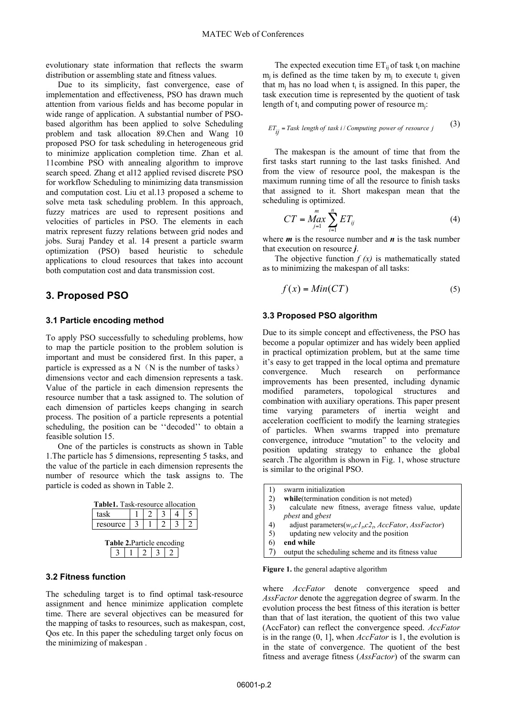evolutionary state information that reflects the swarm distribution or assembling state and fitness values.

Due to its simplicity, fast convergence, ease of implementation and effectiveness, PSO has drawn much attention from various fields and has become popular in wide range of application. A substantial number of PSObased algorithm has been applied to solve Scheduling problem and task allocation 89.Chen and Wang 10 proposed PSO for task scheduling in heterogeneous grid to minimize application completion time. Zhan et al. 11combine PSO with annealing algorithm to improve search speed. Zhang et al12 applied revised discrete PSO for workflow Scheduling to minimizing data transmission and computation cost. Liu et al.13 proposed a scheme to solve meta task scheduling problem. In this approach, fuzzy matrices are used to represent positions and velocities of particles in PSO. The elements in each matrix represent fuzzy relations between grid nodes and jobs. Suraj Pandey et al. 14 present a particle swarm optimization (PSO) based heuristic to schedule applications to cloud resources that takes into account both computation cost and data transmission cost.

## **3. Proposed PSO**

### **3.1 Particle encoding method**

To apply PSO successfully to scheduling problems, how to map the particle position to the problem solution is important and must be considered first. In this paper, a particle is expressed as a  $N(N)$  is the number of tasks) dimensions vector and each dimension represents a task. Value of the particle in each dimension represents the resource number that a task assigned to. The solution of each dimension of particles keeps changing in search process. The position of a particle represents a potential scheduling, the position can be ''decoded'' to obtain a feasible solution 15.

One of the particles is constructs as shown in Table 1.The particle has 5 dimensions, representing 5 tasks, and the value of the particle in each dimension represents the number of resource which the task assigns to. The particle is coded as shown in Table 2.

| task<br>resource<br><b>Table 2. Particle encoding</b> | <b>Table1.</b> Task-resource allocation |  |  |  |  |  |  |  |  |
|-------------------------------------------------------|-----------------------------------------|--|--|--|--|--|--|--|--|
|                                                       |                                         |  |  |  |  |  |  |  |  |
|                                                       |                                         |  |  |  |  |  |  |  |  |
|                                                       |                                         |  |  |  |  |  |  |  |  |

### **3.2 Fitness function**

The scheduling target is to find optimal task-resource assignment and hence minimize application complete time. There are several objectives can be measured for the mapping of tasks to resources, such as makespan, cost, Qos etc. In this paper the scheduling target only focus on the minimizing of makespan .

The expected execution time  $ET_{ii}$  of task  $t_i$  on machine  $m_i$  is defined as the time taken by  $m_i$  to execute t<sub>i</sub> given that  $m_i$  has no load when  $t_i$  is assigned. In this paper, the task execution time is represented by the quotient of task length of  $t_i$  and computing power of resource  $m_i$ .

$$
ET_{ij} = Task\ length\ of\ task\ i\ / Computing\ power\ of\ resource\ j\tag{3}
$$

The makespan is the amount of time that from the first tasks start running to the last tasks finished. And from the view of resource pool, the makespan is the maximum running time of all the resource to finish tasks that assigned to it. Short makespan mean that the scheduling is optimized.

$$
CT = \lim_{j=1}^{m} \sum_{i=1}^{n} ET_{ij}
$$
 (4)

where  $\boldsymbol{m}$  is the resource number and  $\boldsymbol{n}$  is the task number that execution on resource *j*.

The objective function  $f(x)$  is mathematically stated as to minimizing the makespan of all tasks:

$$
f(x) = Min(CT)
$$
 (5)

### **3.3 Proposed PSO algorithm**

Due to its simple concept and effectiveness, the PSO has become a popular optimizer and has widely been applied in practical optimization problem, but at the same time it's easy to get trapped in the local optima and premature convergence. Much research on performance improvements has been presented, including dynamic modified parameters, topological structures and combination with auxiliary operations. This paper present time varying parameters of inertia weight and acceleration coefficient to modify the learning strategies of particles. When swarms trapped into premature convergence, introduce "mutation" to the velocity and position updating strategy to enhance the global search .The algorithm is shown in Fig. 1, whose structure is similar to the original PSO.

- 1) swarm initialization
- 2) **while**(termination condition is not meted)
- 3) calculate new fitness, average fitness value, update *pbest* and *gbest*
- 4) adjust parameters( $w_t c_1 c_2 t$ , *AccFator*, *AssFactor*)<br>5) updating new velocity and the position
- 5) updating new velocity and the position
- 6) **end while**
- 7) output the scheduling scheme and its fitness value

**Figure 1.** the general adaptive algorithm

where *AccFator* denote convergence speed and *AssFactor* denote the aggregation degree of swarm. In the evolution process the best fitness of this iteration is better than that of last iteration, the quotient of this two value (AccFator) can reflect the convergence speed. *AccFator* is in the range (0, 1], when *AccFator* is 1, the evolution is in the state of convergence. The quotient of the best fitness and average fitness (*AssFactor*) of the swarm can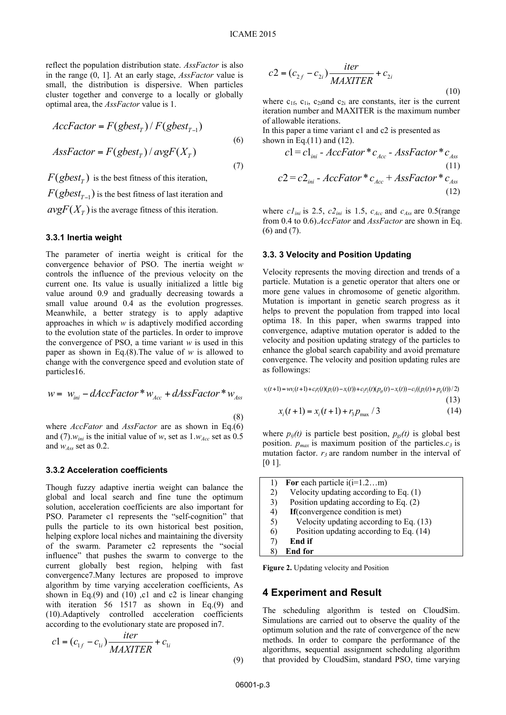reflect the population distribution state. *AssFactor* is also in the range (0, 1]. At an early stage, *AssFactor* value is small, the distribution is dispersive. When particles cluster together and converge to a locally or globally optimal area, the *AssFactor* value is 1.

$$
AccFactor = F(gbest_T) / F(gbest_{T-1})
$$
\n
$$
AssFactor = F(gbest_T) / avgF(X_T)
$$
\n(6)

 $F(\text{gbest}_r)$  is the best fitness of this iteration,  $F(\text{gbest}_{T-1})$  is the best fitness of last iteration and

 $\alpha v g F(X_\tau)$  is the average fitness of this iteration.

#### **3.3.1 Inertia weight**

The parameter of inertia weight is critical for the convergence behavior of PSO. The inertia weight *w* controls the influence of the previous velocity on the current one. Its value is usually initialized a little big value around 0.9 and gradually decreasing towards a small value around 0.4 as the evolution progresses. Meanwhile, a better strategy is to apply adaptive approaches in which *w* is adaptively modified according to the evolution state of the particles. In order to improve the convergence of PSO, a time variant *w* is used in this paper as shown in Eq.(8).The value of *w* is allowed to change with the convergence speed and evolution state of particles16.

$$
w = w_{\text{ini}} - dAccFactor \cdot w_{\text{Acc}} + dAssFactor \cdot w_{\text{Ass}}
$$
\n(8)

where *AccFator* and *AssFactor* are as shown in Eq.(6) and (7). $w_{ini}$  is the initial value of *w*, set as 1. $w_{Acc}$  set as 0.5 and *wAss* set as 0.2.

#### **3.3.2 Acceleration coefficients**

Though fuzzy adaptive inertia weight can balance the global and local search and fine tune the optimum solution, acceleration coefficients are also important for PSO. Parameter c1 represents the "self-cognition" that pulls the particle to its own historical best position, helping explore local niches and maintaining the diversity of the swarm. Parameter c2 represents the "social influence" that pushes the swarm to converge to the current globally best region, helping with fast convergence7.Many lectures are proposed to improve algorithm by time varying acceleration coefficients, As shown in Eq.(9) and (10) ,c1 and c2 is linear changing with iteration 56 1517 as shown in Eq.(9) and (10).Adaptively controlled acceleration coefficients according to the evolutionary state are proposed in7.

$$
c1 = (c_{1f} - c_{1i}) \frac{iter}{MAXITER} + c_{1i}
$$

$$
c2 = (c_{2f} - c_{2i}) \frac{iter}{MAXITER} + c_{2i}
$$
\n(10)

where  $c_{1f}$ ,  $c_{1i}$ ,  $c_{2f}$  and  $c_{2i}$  are constants, iter is the current iteration number and MAXITER is the maximum number of allowable iterations.

In this paper a time variant c1 and c2 is presented as shown in Eq. $(11)$  and  $(12)$ .

$$
c1 = c1_{ini} - AccFactor * c_{Acc} - AssFactor * c_{Ass}
$$
\n(11)  
\n
$$
c2 = c2_{ini} - AccFactor * c_{Acc} + AssFactor * c_{Ass}
$$
\n(12)

where  $c_1$ <sub>ini</sub> is 2.5,  $c_2$ <sub>ini</sub> is 1.5,  $c_{Acc}$  and  $c_{Ass}$  are 0.5(range from 0.4 to 0.6).*AccFator* and *AssFactor* are shown in Eq. (6) and (7).

### **3.3. 3 Velocity and Position Updating**

Velocity represents the moving direction and trends of a particle. Mutation is a genetic operator that alters one or more gene values in chromosome of genetic algorithm. Mutation is important in genetic search progress as it helps to prevent the population from trapped into local optima 18. In this paper, when swarms trapped into convergence, adaptive mutation operator is added to the velocity and position updating strategy of the particles to enhance the global search capability and avoid premature convergence. The velocity and position updating rules are as followings:

$$
v_i(t+1) = uv_i(t+1) + c_i r_i(t)(p_i(t) - x_i(t)) + c_2 r_2(t)(p_{gi}(t) - x_i(t)) - c_3((p_i(t) + p_g(t))/2)
$$
\n(13)

$$
x_i(t+1) = x_i(t+1) + r_3 p_{\text{max}} / 3
$$
 (14)

where  $p_{ij}(t)$  is particle best position,  $p_{gi}(t)$  is global best position.  $p_{max}$  is maximum position of the particles. $c_3$  is mutation factor.  $r_3$  are random number in the interval of [0 1].

|    | For each particle $i(i=1,2m)$            |
|----|------------------------------------------|
| 2) | Velocity updating according to Eq. (1)   |
| 3) | Position updating according to Eq. $(2)$ |
| 4) | If (convergence condition is met)        |
| 5) | Velocity updating according to Eq. (13)  |
| 6) | Position updating according to Eq. (14)  |
| 7) | End if                                   |
|    | <b>End for</b>                           |

**Figure 2.** Updating velocity and Position

## **4 Experiment and Result**

The scheduling algorithm is tested on CloudSim. Simulations are carried out to observe the quality of the optimum solution and the rate of convergence of the new methods. In order to compare the performance of the algorithms, **s**equential assignment scheduling algorithm that provided by CloudSim, standard PSO, time varying

(9)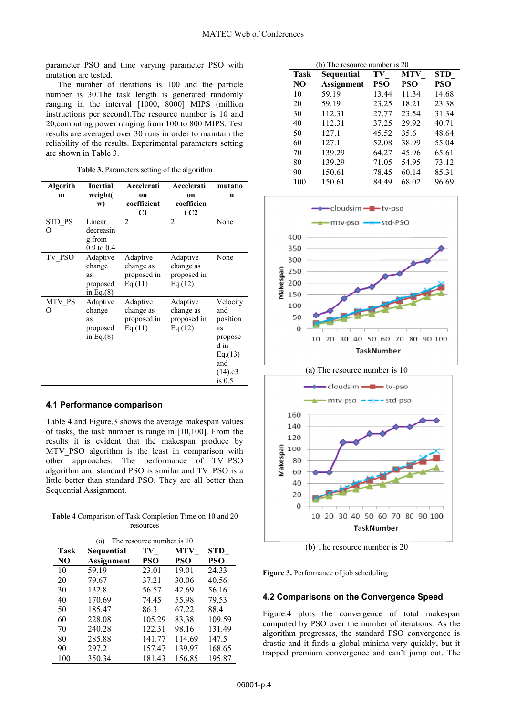parameter PSO and time varying parameter PSO with mutation are tested.

number is 30.The task length is generated randomly ranging in the interval [1000, 8000] MIPS (million ranging in the interval [1000, 8000] MIPS (million instructions per second).The resource number is 10 and 20,computing power ranging from 100 to 800 MIPS. Test results are averaged over 30 runs in order to maintain the reliability of the results. Experimental parameters setting are shown in Table 3. The number of iterations is 100 and the particle ing power ranging from 100 to 800 MIPS. Test<br>averaged over 30 runs in order to maintain the<br>of the results. Experimental parameters setting

| <b>Table 3.</b> Parameters setting of the algorithm |  |  |  |
|-----------------------------------------------------|--|--|--|
|-----------------------------------------------------|--|--|--|

| Algorith | <b>Inertial</b>       | Accelerati     | Accelerati     | mutatio  |
|----------|-----------------------|----------------|----------------|----------|
| m        | weight(               | on             | on             | n        |
|          | w)                    | coefficient    | coefficien     |          |
|          |                       | C1             | tC2            |          |
| STD PS   | Linear                | $\mathfrak{D}$ | $\overline{2}$ | None     |
| $\Omega$ | decreasin             |                |                |          |
|          | g from                |                |                |          |
|          | $0.9 \text{ to } 0.4$ |                |                |          |
| TV PSO   | Adaptive              | Adaptive       | Adaptive       | None     |
|          | change                | change as      | change as      |          |
|          | as                    | proposed in    | proposed in    |          |
|          | proposed              | Eq.(11)        | Eq.(12)        |          |
|          | in Eq. $(8)$          |                |                |          |
| MTV PS   | Adaptive              | Adaptive       | Adaptive       | Velocity |
| $\Omega$ | change                | change as      | change as      | and      |
|          | as                    | proposed in    | proposed in    | position |
|          | proposed              | Eq.(11)        | Eq.(12)        | as       |
|          | in Eq. $(8)$          |                |                | propose  |
|          |                       |                |                | d in     |
|          |                       |                |                | Eq.(13)  |
|          |                       |                |                | and      |
|          |                       |                |                | (14).c3  |
|          |                       |                |                | is 0.5   |

## **4.1 Performance comparison**

Table 4 and Figure.3 shows the average makespan values Table 4 and Figure.3 shows the average makespan values of tasks, the task number is range in [10,100]. From the results it is evident that the makespan produce by MTV\_PSO algorithm is the least in comparison with other approaches. The performance of TV\_PSO algorithm and standard PSO is similar and TV\_PSO is a little better than standard P Sequential Assignment. standard PSO is similar and TV\_PSO is<br>an standard PSO. They are all better that<br>ignment.<br>arison of Task Completion Time on 10 and 20<br>resources<br>(a) The resource number is 10 PSO. They are all better than

**Table 4** Comparison of Task Completion Time on 10 and 20 resources

| The resource number is 10<br>(a) |            |            |            |        |  |  |
|----------------------------------|------------|------------|------------|--------|--|--|
| Task                             | Sequential | TV         | MTV        | STD    |  |  |
| NO                               | Assignment | <b>PSO</b> | <b>PSO</b> | PSO    |  |  |
| 10                               | 59.19      | 23.01      | 19.01      | 24.33  |  |  |
| 20                               | 79.67      | 37.21      | 30.06      | 40.56  |  |  |
| 30                               | 132.8      | 56.57      | 42.69      | 56.16  |  |  |
| 40                               | 170.69     | 74.45      | 55.98      | 79.53  |  |  |
| 50                               | 185.47     | 86.3       | 67.22      | 88.4   |  |  |
| 60                               | 228.08     | 105.29     | 83.38      | 109.59 |  |  |
| 70                               | 240.28     | 122.31     | 98.16      | 131.49 |  |  |
| 80                               | 285.88     | 141.77     | 114.69     | 147.5  |  |  |
| 90                               | 297.2      | 157.47     | 139.97     | 168.65 |  |  |
| 100                              | 350.34     | 181.43     | 156.85     | 195.87 |  |  |

| Task | (b) The resource number is 20<br>Sequential | TV    | <b>MTV</b> | <b>STD</b> |
|------|---------------------------------------------|-------|------------|------------|
| NO   | <b>Assignment</b>                           | PSO   | PSO        | PSO        |
| 10   | 59.19                                       | 13.44 | 11.34      | 14.68      |
| 20   | 59.19                                       | 23.25 | 18.21      | 23.38      |
| 30   | 112.31                                      | 27.77 | 23.54      | 31.34      |
| 40   | 112.31                                      | 37.25 | 29.92      | 40.71      |
| 50   | 127.1                                       | 45.52 | 35.6       | 48.64      |
| 60   | 127.1                                       | 52.08 | 38.99      | 55.04      |
| 70   | 139.29                                      | 64.27 | 45.96      | 65.61      |
| 80   | 139.29                                      | 71.05 | 54.95      | 73.12      |
| 90   | 150.61                                      | 78.45 | 60.14      | 85.31      |
| 100  | 150.61                                      | 84.49 | 68.02      | 96.69      |







(b) The resource number is 20

Figure 3. Performance of job scheduling

## **4.2 Comparisons on the Convergence Speed**

Figure.4 plots the convergence of total makespan computed by PSO over the number of iterations. As the algorithm progresses, the standard PSO convergence is drastic and it finds a global minima very quickly, but it trapped premium convergence and can't jump out. The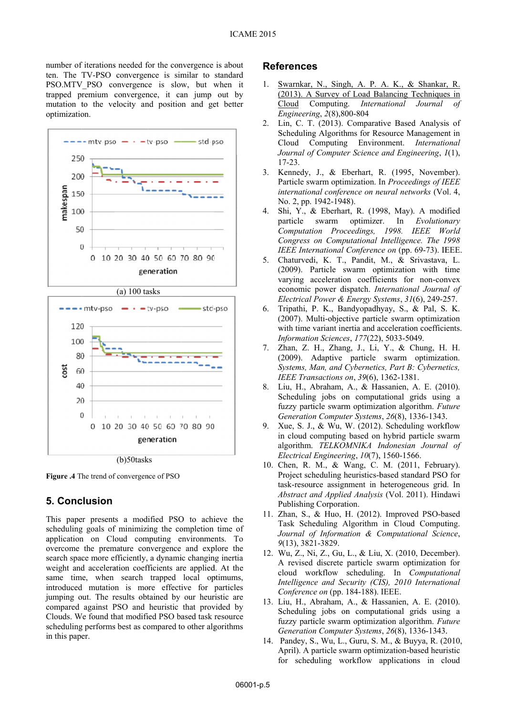number of iterations needed for the convergence is about ten. The TV-PSO convergence is similar to standard PSO.MTV PSO convergence is slow, but when it trapped premium convergence, it can jump out by mutation to the velocity and position and get better optimization.





**Fig Figure .4** The trend of convergence of PSO

## **5. Conclusion**

Figure .4 The trend of convergence of PSO<br> **5. Conclusion**<br>
This paper presents a modified PSO to achieve the scheduling goals of minimizing the completion time of application on Cloud computing environments. To overcome the premature convergence and explore the search space more efficiently, a dynamic changing inertia<br>weight and acceleration coefficients are applied. At the weight and acceleration coefficients are applied. At the same time, when search trapped local optimums, introduced mutation is more effective for particles jumping out. The results obtained by our heuristic are compared against PSO and heuristic that provided by Clouds. We found that modified PSO based task resource scheduling performs best as compared to other algorithms in this paper t. We found that modified PSO based task<br>ling performs best as compared to other al<br>paper.

## **References**

- 1. Swarnkar, N., Singh, A. P. A. K., & Shankar, R. (2013). A Survey of Load Balancing Techniques in Cloud Computing. *International Journal of Engineering* , *2*(8),800 (8),800-804
- $2.$ Scheduling Algorithms for Resource Management in Cloud Computing Environment. *International Journal of Computer Science and Engineering* 17 17-23. Lin, C. T. (2013). Comparative Based Analysis of in, C. T. (2013). Comparativ<br>cheduling Algorithms for Rese<br>loud Computing Environn<br>*ournal of Computer Science al*<br>7-23.<br>lennedy, J., & Eberhart, R.<br>article swarm optimization. In , *1*
- 3. Kennedy, J., & Eberhart, R. (1995, November). Particle swa *Proceedings of IEEE international conference on neural networks* (Vol. 4, No. 2, pp. 1942 1942-1948).
- 4. Shi, Y., & Eberhart, R. (1998, May). A modified particle swarm optimizer. *Computation Proceedings, 1998. IEEE World Congress on Computational Intelligence. The 1998 IEEE International Conference on* (pp. 69 69-73). IEEE. rm optimization. In *Proceedings of IEEE*<br>*Il conference on neural networks* (Vol. 4,<br>942-1948).<br>Eberhart, R. (1998, May). A modified<br>warm optimizer. In *Evolutionary*<br>*n Proceedings, 1998. IEEE World*<br>*n Computational Int Evolutionary*
- 5. Chaturvedi, K. T., Pandit, M., & Srivastava, L. (2009). Particle swarm optimization with time varying acceleration coefficients for non-convex economic power dispatch. International Journal of *Electrical Power & Energy Systems* , *31*(6), 249 249-257. 73). IEEE.<br>astava, L.<br>with time<br>on-convex<br>*Iournal of*<br>249-257.<br>Pal, S. K.<br>timization<br>oefficients.<br>ag, H. H.<br>imization.<br>*bernetics*,<br>*E.* (2010).
- 6. Tripathi, P. K., Bandyopadhyay, S., & Pal, S. K. (2007). Multi-objective particle swarm optimization with time variant inertia and acceleration coefficients. *Information Scien Sciences ces*, *177*(22), 5033 5033-5049.
- 7. Zhan, Z. H., Zhang, J., Li, Y., & Chung, H. H. (2009). Adaptive particle swarm optimization. *Systems, Man, and Cybernetics, Part B: Cybernetics, IEEE Transactions on* , *39*(6), 1362 1362-1381. 3-5049.<br>& Chu<br>m op<br>*rt B: C*.<br>1381.
- 8. Liu, H., Abraham, A., & Hassanien, A. E. (2010 Scheduling jobs on computational grids using a fuzzy particle swarm optimization algorithm. *Future Generation Computer Systems* , *26*(8), 1336 1336-1343.
- 9. Xue, S. J., & Wu, W. (2012). Scheduling workflow in cloud computing based on hybrid particle swarm algorithm. *TELKOMNIKA Indonesian Journal of Electrical Engineering* , *10*(7), 1560 1560-1566.
- 10. Chen, R. M., & Wang, C. M. (2011, February). Project scheduling heuristics-based standard PSO for task task-resource assignment in heterogeneous grid. In *Abstract and Applied Analysis* (Vol. 2011). Hindawi Publishing Corporation. 1566.<br>2011, February).<br>standard PSO for<br>geneous grid. In<br>. 2011). Hindawi<br>oved PSO-based gineering, 1(1),<br>5, November).<br>6. S. November).<br>6. dings of IEEE<br>tworks (Vol. 4,<br>1). A modified<br>Evolutionary<br>IEEE World<br>nce. The 1998<br>1. 69-73). IEEE.<br>Srivastava, L.<br>10 m with time<br>or non-convex<br>nal Journal of<br>1(6), 249-25 1343.<br>workflow<br>le swarm<br>*urnal of*<br>rebruary).<br>1 PSO for<br>s grid. In<br>Hindawi<br>SO-based<br>mputing.<br>*Science*,
- 11. Zhan, S., & Huo, H. (2012). Improved PSO Task Scheduling Algorithm in Cloud Computing. *Journal of Information & Computational Science* task-resource assi<br> *Abstract and App*<br>
Publishing Corpor<br>
Zhan, S., & Huo<br>
Task Scheduling<br> *Journal of Inforn*<br>
9(13), 3821-3829.
- 12. Wu, Z., Ni, Z., Gu, L., & Liu, X. (2010, December). A revised discrete particle swarm optimization for cloud workflow scheduling. In *Computational Intelligence and Security (CIS), 2010 International Conference on* (pp. 184 184-188). IEEE.
- 13. Liu, H., Abraham, A., & Hassanien, A. E. (2010). Scheduling jobs on computational grids using a fuzzy particle swarm optimization algorithm. *Future Generation Computer Systems* 1336-1343. 188). IEEE.<br>& Hassanien, A.<br>omputational grids<br>timization algorith<br>*vstems*, 26(8), 1336
- Generation Computer Systems, 26(8), 1336-1343.<br>14. Pandey, S., Wu, L., Guru, S. M., & Buyya, R. (2010, April). A particle swarm optimization-based heuristic for scheduling workflow applications in cloud